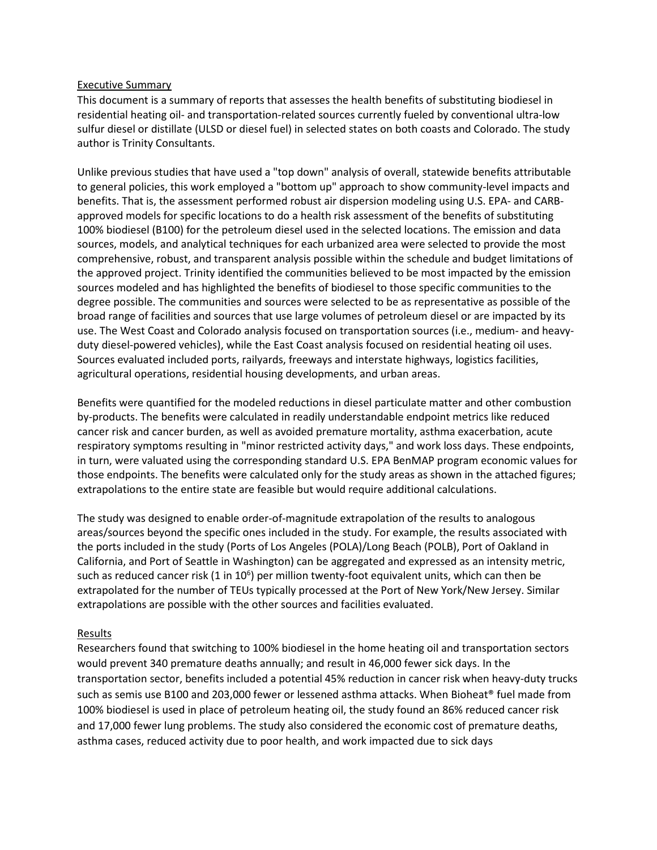#### Executive Summary

This document is a summary of reports that assesses the health benefits of substituting biodiesel in residential heating oil- and transportation-related sources currently fueled by conventional ultra-low sulfur diesel or distillate (ULSD or diesel fuel) in selected states on both coasts and Colorado. The study author is Trinity Consultants.

Unlike previous studies that have used a "top down" analysis of overall, statewide benefits attributable to general policies, this work employed a "bottom up" approach to show community-level impacts and benefits. That is, the assessment performed robust air dispersion modeling using U.S. EPA- and CARBapproved models for specific locations to do a health risk assessment of the benefits of substituting 100% biodiesel (B100) for the petroleum diesel used in the selected locations. The emission and data sources, models, and analytical techniques for each urbanized area were selected to provide the most comprehensive, robust, and transparent analysis possible within the schedule and budget limitations of the approved project. Trinity identified the communities believed to be most impacted by the emission sources modeled and has highlighted the benefits of biodiesel to those specific communities to the degree possible. The communities and sources were selected to be as representative as possible of the broad range of facilities and sources that use large volumes of petroleum diesel or are impacted by its use. The West Coast and Colorado analysis focused on transportation sources (i.e., medium- and heavyduty diesel-powered vehicles), while the East Coast analysis focused on residential heating oil uses. Sources evaluated included ports, railyards, freeways and interstate highways, logistics facilities, agricultural operations, residential housing developments, and urban areas.

Benefits were quantified for the modeled reductions in diesel particulate matter and other combustion by-products. The benefits were calculated in readily understandable endpoint metrics like reduced cancer risk and cancer burden, as well as avoided premature mortality, asthma exacerbation, acute respiratory symptoms resulting in "minor restricted activity days," and work loss days. These endpoints, in turn, were valuated using the corresponding standard U.S. EPA BenMAP program economic values for those endpoints. The benefits were calculated only for the study areas as shown in the attached figures; extrapolations to the entire state are feasible but would require additional calculations.

The study was designed to enable order-of-magnitude extrapolation of the results to analogous areas/sources beyond the specific ones included in the study. For example, the results associated with the ports included in the study (Ports of Los Angeles (POLA)/Long Beach (POLB), Port of Oakland in California, and Port of Seattle in Washington) can be aggregated and expressed as an intensity metric, such as reduced cancer risk (1 in 10<sup>6</sup>) per million twenty-foot equivalent units, which can then be extrapolated for the number of TEUs typically processed at the Port of New York/New Jersey. Similar extrapolations are possible with the other sources and facilities evaluated.

### Results

Researchers found that switching to 100% biodiesel in the home heating oil and transportation sectors would prevent 340 premature deaths annually; and result in 46,000 fewer sick days. In the transportation sector, benefits included a potential 45% reduction in cancer risk when heavy-duty trucks such as semis use B100 and 203,000 fewer or lessened asthma attacks. When Bioheat® fuel made from 100% biodiesel is used in place of petroleum heating oil, the study found an 86% reduced cancer risk and 17,000 fewer lung problems. The study also considered the economic cost of premature deaths, asthma cases, reduced activity due to poor health, and work impacted due to sick days